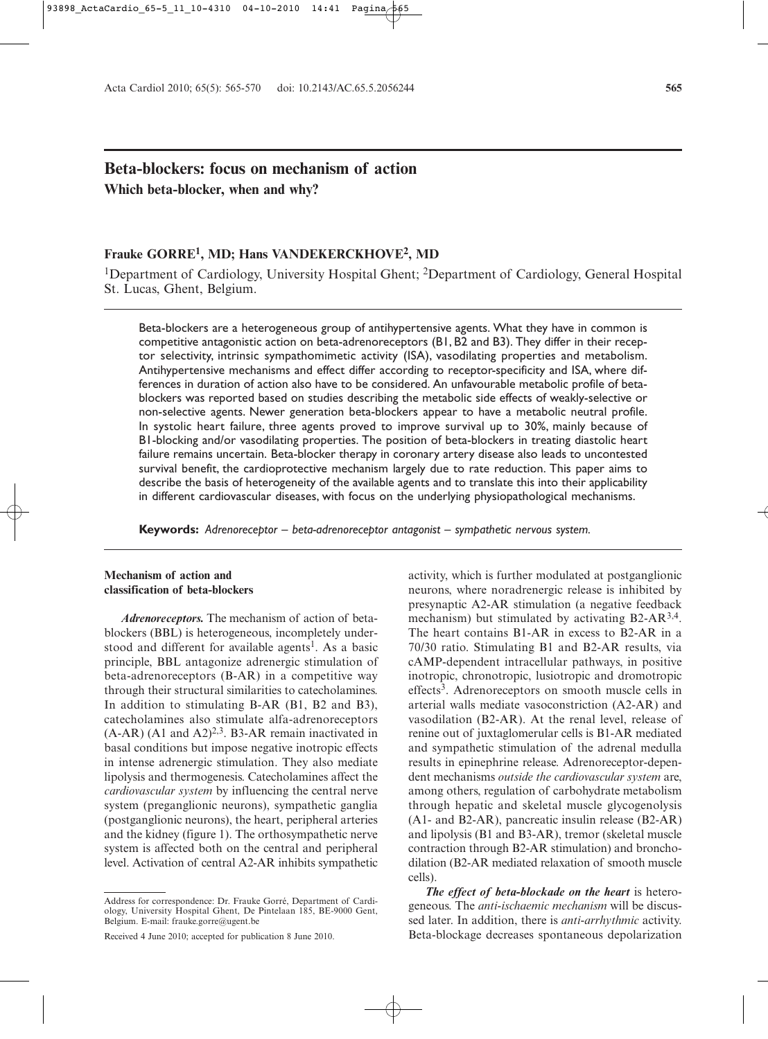# **Beta-blockers: focus on mechanism of action Which beta-blocker, when and why?**

# **Frauke GORRE1, MD; Hans VANDEKERCKHOVE2, MD**

<sup>1</sup>Department of Cardiology, University Hospital Ghent; <sup>2</sup>Department of Cardiology, General Hospital St. Lucas, Ghent, Belgium.

Beta-blockers are a heterogeneous group of antihypertensive agents. What they have in common is competitive antagonistic action on beta-adrenoreceptors (B1, B2 and B3). They differ in their receptor selectivity, intrinsic sympathomimetic activity (ISA), vasodilating properties and metabolism. Antihypertensive mechanisms and effect differ according to receptor-specificity and ISA, where differences in duration of action also have to be considered. An unfavourable metabolic profile of betablockers was reported based on studies describing the metabolic side effects of weakly-selective or non-selective agents. Newer generation beta-blockers appear to have a metabolic neutral profile. In systolic heart failure, three agents proved to improve survival up to 30%, mainly because of B1-blocking and/or vasodilating properties. The position of beta-blockers in treating diastolic heart failure remains uncertain. Beta-blocker therapy in coronary artery disease also leads to uncontested survival benefit, the cardioprotective mechanism largely due to rate reduction. This paper aims to describe the basis of heterogeneity of the available agents and to translate this into their applicability in different cardiovascular diseases, with focus on the underlying physiopathological mechanisms.

**Keywords:** *Adrenoreceptor – beta-adrenoreceptor antagonist – sympathetic nervous system.*

## **Mechanism of action and classification of beta-blockers**

*Adrenoreceptors.* The mechanism of action of betablockers (BBL) is heterogeneous, incompletely understood and different for available agents<sup>1</sup>. As a basic principle, BBL antagonize adrenergic stimulation of beta-adrenoreceptors (B-AR) in a competitive way through their structural similarities to catecholamines. In addition to stimulating B-AR (B1, B2 and B3), catecholamines also stimulate alfa-adrenoreceptors  $(A-AR)$   $(A1$  and  $A2)^{2,3}$ . B3-AR remain inactivated in basal conditions but impose negative inotropic effects in intense adrenergic stimulation. They also mediate lipolysis and thermogenesis. Catecholamines affect the *cardiovascular system* by influencing the central nerve system (preganglionic neurons), sympathetic ganglia (postganglionic neurons), the heart, peripheral arteries and the kidney (figure 1). The orthosympathetic nerve system is affected both on the central and peripheral level. Activation of central A2-AR inhibits sympathetic activity, which is further modulated at postganglionic neurons, where noradrenergic release is inhibited by presynaptic A2-AR stimulation (a negative feedback mechanism) but stimulated by activating B2-AR<sup>3,4</sup>. The heart contains B1-AR in excess to B2-AR in a 70/30 ratio. Stimulating B1 and B2-AR results, via cAMP-dependent intracellular pathways, in positive inotropic, chronotropic, lusiotropic and dromotropic effects<sup>3</sup>. Adrenoreceptors on smooth muscle cells in arterial walls mediate vasoconstriction (A2-AR) and vasodilation (B2-AR). At the renal level, release of renine out of juxtaglomerular cells is B1-AR mediated and sympathetic stimulation of the adrenal medulla results in epinephrine release. Adrenoreceptor-dependent mechanisms *outside the cardiovascular system* are, among others, regulation of carbohydrate metabolism through hepatic and skeletal muscle glycogenolysis (A1- and B2-AR), pancreatic insulin release (B2-AR) and lipolysis (B1 and B3-AR), tremor (skeletal muscle contraction through B2-AR stimulation) and bronchodilation (B2-AR mediated relaxation of smooth muscle cells).

*The effect of beta-blockade on the heart* is heterogeneous. The *anti-ischaemic mechanism* will be discussed later. In addition, there is *anti-arrhythmic* activity. Beta-blockage decreases spontaneous depolarization

Address for correspondence: Dr. Frauke Gorré, Department of Cardiology, University Hospital Ghent, De Pintelaan 185, BE-9000 Gent, Belgium. E-mail: frauke.gorre@ugent.be

Received 4 June 2010; accepted for publication 8 June 2010.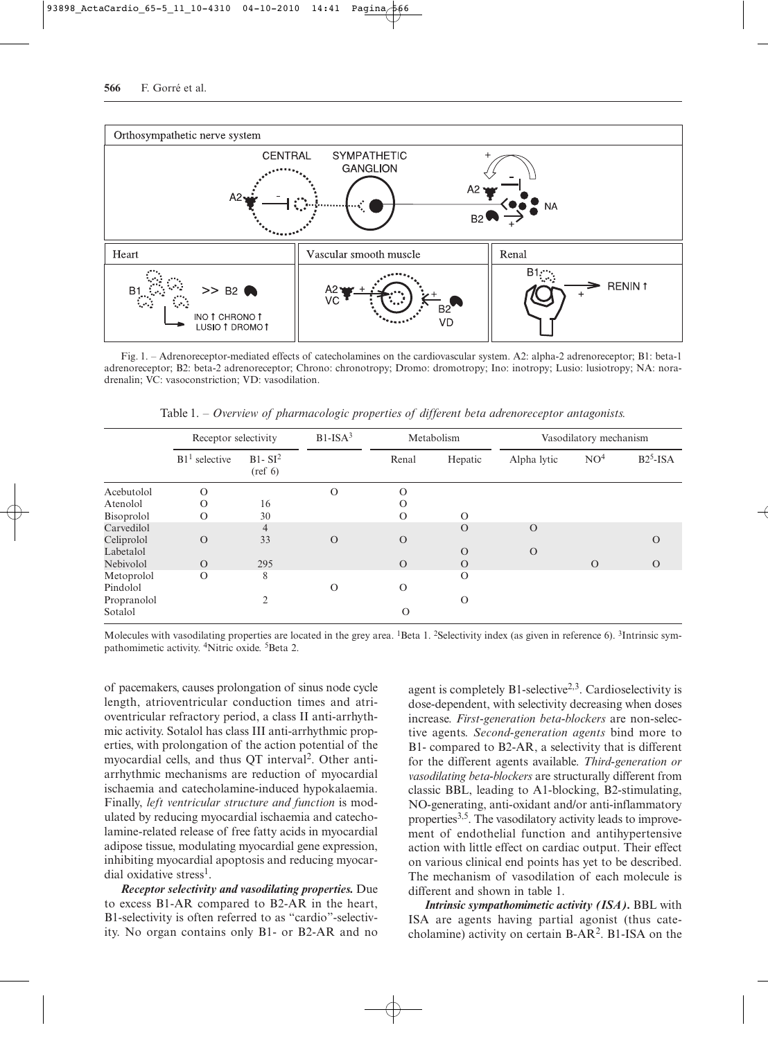

Fig.∞∞1. – Adrenoreceptor-mediated effects of catecholamines on the cardiovascular system. A2: alpha-2 adrenoreceptor; B1: beta-1 adrenoreceptor; B2: beta-2 adrenoreceptor; Chrono: chronotropy; Dromo: dromotropy; Ino: inotropy; Lusio: lusiotropy; NA: noradrenalin; VC: vasoconstriction; VD: vasodilation.

Table 1. − Overview of pharmacologic properties of different beta adrenoreceptor antagonists.

|             | Receptor selectivity |                               | $B1-ISA3$ | Metabolism |          | Vasodilatory mechanism |                 |           |
|-------------|----------------------|-------------------------------|-----------|------------|----------|------------------------|-----------------|-----------|
|             | $B11$ selective      | $B1-SI2$<br>$(\text{ref } 6)$ |           | Renal      | Hepatic  | Alpha lytic            | NO <sup>4</sup> | $B25-ISA$ |
| Acebutolol  | $\Omega$             |                               | $\Omega$  | $\Omega$   |          |                        |                 |           |
| Atenolol    | $\Omega$             | 16                            |           | $\Omega$   |          |                        |                 |           |
| Bisoprolol  | $\Omega$             | 30                            |           | $\Omega$   | $\Omega$ |                        |                 |           |
| Carvedilol  |                      | $\overline{4}$                |           |            | $\Omega$ | $\Omega$               |                 |           |
| Celiprolol  | $\Omega$             | 33                            | $\Omega$  | $\Omega$   |          |                        |                 | $\Omega$  |
| Labetalol   |                      |                               |           |            | $\Omega$ | $\Omega$               |                 |           |
| Nebivolol   | $\Omega$             | 295                           |           | $\Omega$   | $\Omega$ |                        | $\Omega$        | $\Omega$  |
| Metoprolol  | $\Omega$             | 8                             |           |            | $\Omega$ |                        |                 |           |
| Pindolol    |                      |                               | $\Omega$  | $\Omega$   |          |                        |                 |           |
| Propranolol |                      | $\mathfrak{D}$                |           |            | $\Omega$ |                        |                 |           |
| Sotalol     |                      |                               |           | $\Omega$   |          |                        |                 |           |

Molecules with vasodilating properties are located in the grey area. <sup>1</sup>Beta 1. <sup>2</sup>Selectivity index (as given in reference 6). <sup>3</sup>Intrinsic sympathomimetic activity. 4Nitric oxide. 5Beta 2.

of pacemakers, causes prolongation of sinus node cycle length, atrioventricular conduction times and atrioventricular refractory period, a class II anti-arrhythmic activity. Sotalol has class III anti-arrhythmic properties, with prolongation of the action potential of the myocardial cells, and thus OT interval<sup>2</sup>. Other antiarrhythmic mechanisms are reduction of myocardial ischaemia and catecholamine-induced hypokalaemia. Finally, *left ventricular structure and function* is modulated by reducing myocardial ischaemia and catecholamine-related release of free fatty acids in myocardial adipose tissue, modulating myocardial gene expression, inhibiting myocardial apoptosis and reducing myocardial oxidative stress<sup>1</sup>.

*Receptor selectivity and vasodilating properties.* Due to excess B1-AR compared to B2-AR in the heart, B1-selectivity is often referred to as "cardio"-selectivity. No organ contains only B1- or B2-AR and no

agent is completely  $B1$ -selective<sup>2,3</sup>. Cardioselectivity is dose-dependent, with selectivity decreasing when doses increase. *First-generation beta-blockers* are non-selective agents. *Second-generation agents* bind more to B1- compared to B2-AR, a selectivity that is different for the different agents available. *Third-generation or vasodilating beta-blockers* are structurally different from classic BBL, leading to A1-blocking, B2-stimulating, NO-generating, anti-oxidant and/or anti-inflammatory properties<sup>3,5</sup>. The vasodilatory activity leads to improvement of endothelial function and antihypertensive action with little effect on cardiac output. Their effect on various clinical end points has yet to be described. The mechanism of vasodilation of each molecule is different and shown in table 1.

*Intrinsic sympathomimetic activity (ISA).* BBL with ISA are agents having partial agonist (thus catecholamine) activity on certain B-AR2. B1-ISA on the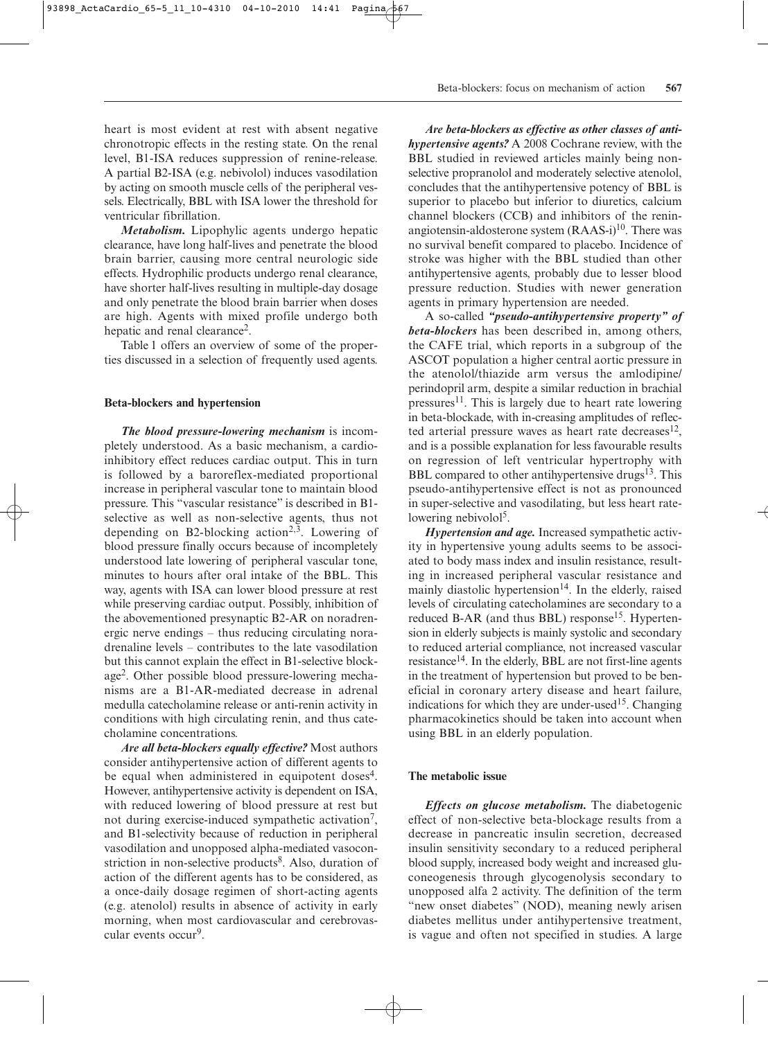heart is most evident at rest with absent negative chronotropic effects in the resting state. On the renal level, B1-ISA reduces suppression of renine-release. A partial B2-ISA (e.g. nebivolol) induces vasodilation by acting on smooth muscle cells of the peripheral vessels. Electrically, BBL with ISA lower the threshold for ventricular fibrillation.

*Metabolism.* Lipophylic agents undergo hepatic clearance, have long half-lives and penetrate the blood brain barrier, causing more central neurologic side effects. Hydrophilic products undergo renal clearance, have shorter half-lives resulting in multiple-day dosage and only penetrate the blood brain barrier when doses are high. Agents with mixed profile undergo both hepatic and renal clearance<sup>2</sup>.

Table 1 offers an overview of some of the properties discussed in a selection of frequently used agents.

#### **Beta-blockers and hypertension**

*The blood pressure-lowering mechanism* is incompletely understood. As a basic mechanism, a cardioinhibitory effect reduces cardiac output. This in turn is followed by a baroreflex-mediated proportional increase in peripheral vascular tone to maintain blood pressure. This "vascular resistance" is described in B1 selective as well as non-selective agents, thus not depending on B2-blocking action<sup>2,3</sup>. Lowering of blood pressure finally occurs because of incompletely understood late lowering of peripheral vascular tone, minutes to hours after oral intake of the BBL. This way, agents with ISA can lower blood pressure at rest while preserving cardiac output. Possibly, inhibition of the abovementioned presynaptic B2-AR on noradrenergic nerve endings – thus reducing circulating noradrenaline levels – contributes to the late vasodilation but this cannot explain the effect in B1-selective blockage2. Other possible blood pressure-lowering mechanisms are a B1-AR-mediated decrease in adrenal medulla catecholamine release or anti-renin activity in conditions with high circulating renin, and thus catecholamine concentrations.

*Are all beta-blockers equally effective?* Most authors consider antihypertensive action of different agents to be equal when administered in equipotent doses<sup>4</sup>. However, antihypertensive activity is dependent on ISA, with reduced lowering of blood pressure at rest but not during exercise-induced sympathetic activation<sup>7</sup>, and B1-selectivity because of reduction in peripheral vasodilation and unopposed alpha-mediated vasoconstriction in non-selective products<sup>8</sup>. Also, duration of action of the different agents has to be considered, as a once-daily dosage regimen of short-acting agents (e.g. atenolol) results in absence of activity in early morning, when most cardiovascular and cerebrovascular events occur<sup>9</sup>.

*Are beta-blockers as effective as other classes of antihypertensive agents?* A 2008 Cochrane review, with the BBL studied in reviewed articles mainly being nonselective propranolol and moderately selective atenolol, concludes that the antihypertensive potency of BBL is superior to placebo but inferior to diuretics, calcium channel blockers (CCB) and inhibitors of the reninangiotensin-aldosterone system  $(RAAS-i)^{10}$ . There was no survival benefit compared to placebo. Incidence of stroke was higher with the BBL studied than other antihypertensive agents, probably due to lesser blood pressure reduction. Studies with newer generation agents in primary hypertension are needed.

A so-called *"pseudo-antihypertensive property" of beta-blockers* has been described in, among others, the CAFE trial, which reports in a subgroup of the ASCOT population a higher central aortic pressure in the atenolol/thiazide arm versus the amlodipine/ perindopril arm, despite a similar reduction in brachial pressures<sup>11</sup>. This is largely due to heart rate lowering in beta-blockade, with in-creasing amplitudes of reflected arterial pressure waves as heart rate decreases $^{12}$ , and is a possible explanation for less favourable results on regression of left ventricular hypertrophy with BBL compared to other antihypertensive drugs<sup>13</sup>. This pseudo-antihypertensive effect is not as pronounced in super-selective and vasodilating, but less heart ratelowering nebivolol<sup>5</sup>.

*Hypertension and age.* Increased sympathetic activity in hypertensive young adults seems to be associated to body mass index and insulin resistance, resulting in increased peripheral vascular resistance and mainly diastolic hypertension $14$ . In the elderly, raised levels of circulating catecholamines are secondary to a reduced B-AR (and thus BBL) response<sup>15</sup>. Hypertension in elderly subjects is mainly systolic and secondary to reduced arterial compliance, not increased vascular resistance<sup>14</sup>. In the elderly, BBL are not first-line agents in the treatment of hypertension but proved to be beneficial in coronary artery disease and heart failure, indications for which they are under-used<sup>15</sup>. Changing pharmacokinetics should be taken into account when using BBL in an elderly population.

#### **The metabolic issue**

*Effects on glucose metabolism.* The diabetogenic effect of non-selective beta-blockage results from a decrease in pancreatic insulin secretion, decreased insulin sensitivity secondary to a reduced peripheral blood supply, increased body weight and increased gluconeogenesis through glycogenolysis secondary to unopposed alfa 2 activity. The definition of the term "new onset diabetes" (NOD), meaning newly arisen diabetes mellitus under antihypertensive treatment, is vague and often not specified in studies. A large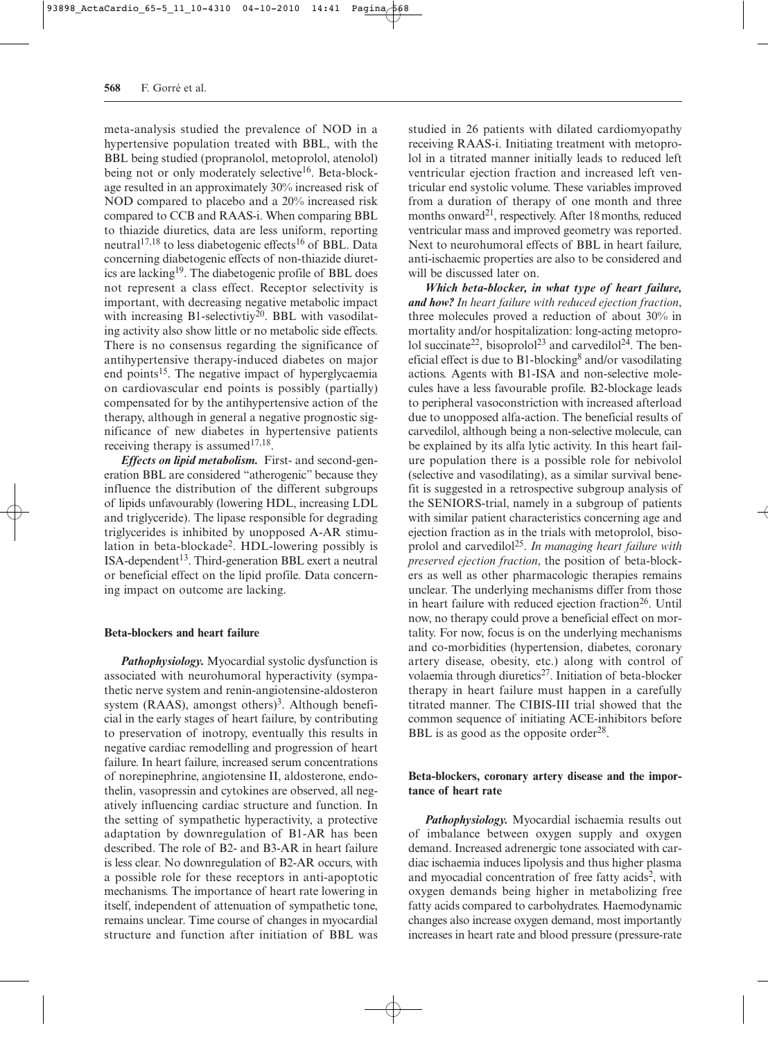meta-analysis studied the prevalence of NOD in a hypertensive population treated with BBL, with the BBL being studied (propranolol, metoprolol, atenolol) being not or only moderately selective<sup>16</sup>. Beta-blockage resulted in an approximately 30% increased risk of NOD compared to placebo and a 20% increased risk compared to CCB and RAAS-i. When comparing BBL to thiazide diuretics, data are less uniform, reporting neutral<sup>17,18</sup> to less diabetogenic effects<sup>16</sup> of BBL. Data concerning diabetogenic effects of non-thiazide diuretics are lacking19. The diabetogenic profile of BBL does not represent a class effect. Receptor selectivity is important, with decreasing negative metabolic impact with increasing B1-selectivtiy<sup>20</sup>. BBL with vasodilating activity also show little or no metabolic side effects. There is no consensus regarding the significance of antihypertensive therapy-induced diabetes on major end points<sup>15</sup>. The negative impact of hyperglycaemia on cardiovascular end points is possibly (partially) compensated for by the antihypertensive action of the therapy, although in general a negative prognostic significance of new diabetes in hypertensive patients receiving therapy is assumed $17,18$ .

*Effects on lipid metabolism.* First- and second-generation BBL are considered "atherogenic" because they influence the distribution of the different subgroups of lipids unfavourably (lowering HDL, increasing LDL and triglyceride). The lipase responsible for degrading triglycerides is inhibited by unopposed A-AR stimulation in beta-blockade2. HDL-lowering possibly is  $ISA-dependent$ <sup>13</sup>. Third-generation BBL exert a neutral or beneficial effect on the lipid profile. Data concerning impact on outcome are lacking.

#### **Beta-blockers and heart failure**

*Pathophysiology.* Myocardial systolic dysfunction is associated with neurohumoral hyperactivity (sympathetic nerve system and renin-angiotensine-aldosteron system (RAAS), amongst others)<sup>3</sup>. Although beneficial in the early stages of heart failure, by contributing to preservation of inotropy, eventually this results in negative cardiac remodelling and progression of heart failure. In heart failure, increased serum concentrations of norepinephrine, angiotensine II, aldosterone, endothelin, vasopressin and cytokines are observed, all negatively influencing cardiac structure and function. In the setting of sympathetic hyperactivity, a protective adaptation by downregulation of B1-AR has been described. The role of B2- and B3-AR in heart failure is less clear. No downregulation of B2-AR occurs, with a possible role for these receptors in anti-apoptotic mechanisms. The importance of heart rate lowering in itself, independent of attenuation of sympathetic tone, remains unclear. Time course of changes in myocardial structure and function after initiation of BBL was studied in 26 patients with dilated cardiomyopathy receiving RAAS-i. Initiating treatment with metoprolol in a titrated manner initially leads to reduced left ventricular ejection fraction and increased left ventricular end systolic volume. These variables improved from a duration of therapy of one month and three months onward<sup>21</sup>, respectively. After 18 months, reduced ventricular mass and improved geometry was reported. Next to neurohumoral effects of BBL in heart failure, anti-ischaemic properties are also to be considered and will be discussed later on.

*Which beta-blocker, in what type of heart failure, and how? In heart failure with reduced ejection fraction*, three molecules proved a reduction of about 30% in mortality and/or hospitalization: long-acting metoprolol succinate<sup>22</sup>, bisoprolol<sup>23</sup> and carvedilol<sup>24</sup>. The beneficial effect is due to  $B1$ -blocking<sup>8</sup> and/or vasodilating actions. Agents with B1-ISA and non-selective molecules have a less favourable profile. B2-blockage leads to peripheral vasoconstriction with increased afterload due to unopposed alfa-action. The beneficial results of carvedilol, although being a non-selective molecule, can be explained by its alfa lytic activity. In this heart failure population there is a possible role for nebivolol (selective and vasodilating), as a similar survival benefit is suggested in a retrospective subgroup analysis of the SENIORS-trial, namely in a subgroup of patients with similar patient characteristics concerning age and ejection fraction as in the trials with metoprolol, bisoprolol and carvedilol25. *In managing heart failure with preserved ejection fraction*, the position of beta-blockers as well as other pharmacologic therapies remains unclear. The underlying mechanisms differ from those in heart failure with reduced ejection fraction<sup>26</sup>. Until now, no therapy could prove a beneficial effect on mortality. For now, focus is on the underlying mechanisms and co-morbidities (hypertension, diabetes, coronary artery disease, obesity, etc.) along with control of volaemia through diuretics<sup>27</sup>. Initiation of beta-blocker therapy in heart failure must happen in a carefully titrated manner. The CIBIS-III trial showed that the common sequence of initiating ACE-inhibitors before BBL is as good as the opposite order $^{28}$ .

### **Beta-blockers, coronary artery disease and the importance of heart rate**

*Pathophysiology.* Myocardial ischaemia results out of imbalance between oxygen supply and oxygen demand. Increased adrenergic tone associated with cardiac ischaemia induces lipolysis and thus higher plasma and myocadial concentration of free fatty acids<sup>2</sup>, with oxygen demands being higher in metabolizing free fatty acids compared to carbohydrates. Haemodynamic changes also increase oxygen demand, most importantly increases in heart rate and blood pressure (pressure-rate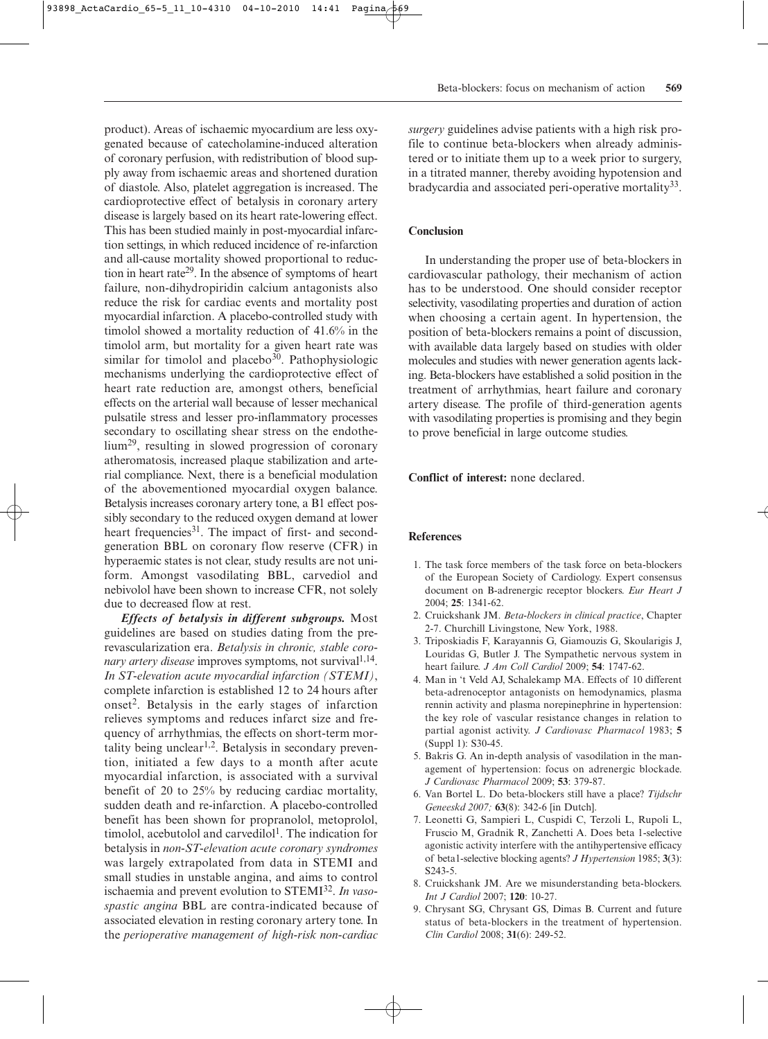product). Areas of ischaemic myocardium are less oxygenated because of catecholamine-induced alteration of coronary perfusion, with redistribution of blood supply away from ischaemic areas and shortened duration of diastole. Also, platelet aggregation is increased. The cardioprotective effect of betalysis in coronary artery disease is largely based on its heart rate-lowering effect. This has been studied mainly in post-myocardial infarction settings, in which reduced incidence of re-infarction and all-cause mortality showed proportional to reduction in heart rate<sup>29</sup>. In the absence of symptoms of heart failure, non-dihydropiridin calcium antagonists also reduce the risk for cardiac events and mortality post myocardial infarction. A placebo-controlled study with timolol showed a mortality reduction of 41.6% in the timolol arm, but mortality for a given heart rate was similar for timolol and placebo $30$ . Pathophysiologic mechanisms underlying the cardioprotective effect of heart rate reduction are, amongst others, beneficial effects on the arterial wall because of lesser mechanical pulsatile stress and lesser pro-inflammatory processes secondary to oscillating shear stress on the endothelium29, resulting in slowed progression of coronary atheromatosis, increased plaque stabilization and arterial compliance. Next, there is a beneficial modulation of the abovementioned myocardial oxygen balance. Betalysis increases coronary artery tone, a B1 effect possibly secondary to the reduced oxygen demand at lower heart frequencies<sup>31</sup>. The impact of first- and secondgeneration BBL on coronary flow reserve (CFR) in hyperaemic states is not clear, study results are not uniform. Amongst vasodilating BBL, carvediol and nebivolol have been shown to increase CFR, not solely due to decreased flow at rest.

*Effects of betalysis in different subgroups.* Most guidelines are based on studies dating from the prerevascularization era. *Betalysis in chronic, stable coronary artery disease* improves symptoms, not survival<sup>1,14</sup>. *In ST-elevation acute myocardial infarction (STEMI)*, complete infarction is established 12 to 24 hours after onset2. Betalysis in the early stages of infarction relieves symptoms and reduces infarct size and frequency of arrhythmias, the effects on short-term mortality being unclear<sup>1,2</sup>. Betalysis in secondary prevention, initiated a few days to a month after acute myocardial infarction, is associated with a survival benefit of 20 to 25% by reducing cardiac mortality, sudden death and re-infarction. A placebo-controlled benefit has been shown for propranolol, metoprolol, timolol, acebutolol and carvedilol<sup>1</sup>. The indication for betalysis in *non-ST-elevation acute coronary syndromes* was largely extrapolated from data in STEMI and small studies in unstable angina, and aims to control ischaemia and prevent evolution to STEMI32. *In vasospastic angina* BBL are contra-indicated because of associated elevation in resting coronary artery tone. In the *perioperative management of high-risk non-cardiac*

*surgery* guidelines advise patients with a high risk profile to continue beta-blockers when already administered or to initiate them up to a week prior to surgery, in a titrated manner, thereby avoiding hypotension and bradycardia and associated peri-operative mortality<sup>33</sup>.

#### **Conclusion**

In understanding the proper use of beta-blockers in cardiovascular pathology, their mechanism of action has to be understood. One should consider receptor selectivity, vasodilating properties and duration of action when choosing a certain agent. In hypertension, the position of beta-blockers remains a point of discussion, with available data largely based on studies with older molecules and studies with newer generation agents lacking. Beta-blockers have established a solid position in the treatment of arrhythmias, heart failure and coronary artery disease. The profile of third-generation agents with vasodilating properties is promising and they begin to prove beneficial in large outcome studies.

**Conflict of interest:** none declared.

#### **References**

- 1. The task force members of the task force on beta-blockers of the European Society of Cardiology. Expert consensus document on B-adrenergic receptor blockers. *Eur Heart J* 2004; **25**: 1341-62.
- 2. Cruickshank JM. *Beta-blockers in clinical practice*, Chapter 2-7. Churchill Livingstone, New York, 1988.
- 3. Triposkiadis F, Karayannis G, Giamouzis G, Skoularigis J, Louridas G, Butler J. The Sympathetic nervous system in heart failure. *J Am Coll Cardiol* 2009; **54**: 1747-62.
- 4. Man in 't Veld AJ, Schalekamp MA. Effects of 10 different beta-adrenoceptor antagonists on hemodynamics, plasma rennin activity and plasma norepinephrine in hypertension: the key role of vascular resistance changes in relation to partial agonist activity. *J Cardiovasc Pharmacol* 1983; **5** (Suppl 1): S30-45.
- 5. Bakris G. An in-depth analysis of vasodilation in the management of hypertension: focus on adrenergic blockade. *J Cardiovasc Pharmacol* 2009; **53**: 379-87.
- 6. Van Bortel L. Do beta-blockers still have a place? *Tijdschr Geneeskd 2007;* **63**(8): 342-6 [in Dutch].
- 7. Leonetti G, Sampieri L, Cuspidi C, Terzoli L, Rupoli L, Fruscio M, Gradnik R, Zanchetti A. Does beta 1-selective agonistic activity interfere with the antihypertensive efficacy of beta1-selective blocking agents? *J Hypertension* 1985; **3**(3): S243-5.
- 8. Cruickshank JM. Are we misunderstanding beta-blockers. *Int J Cardiol* 2007; **120**: 10-27.
- 9. Chrysant SG, Chrysant GS, Dimas B. Current and future status of beta-blockers in the treatment of hypertension. *Clin Cardiol* 2008; **31**(6): 249-52.